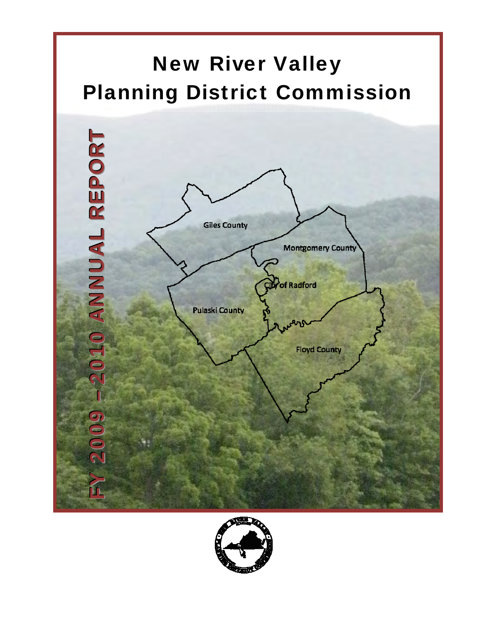# New River Valley Planning District Commission



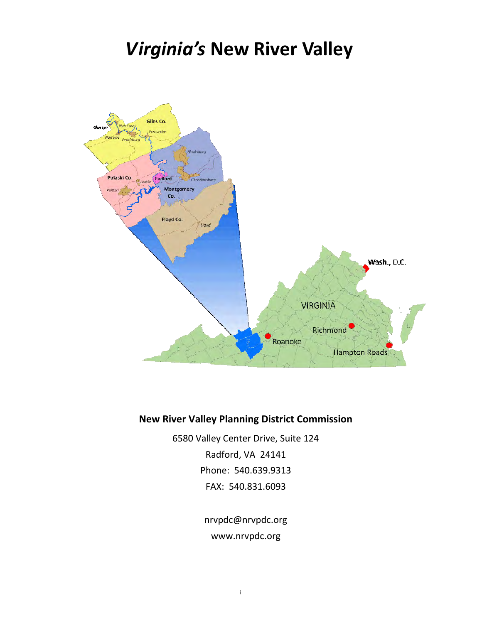## *Virginia's* **New River Valley**



## **New River Valley Planning District Commission**

6580 Valley Center Drive, Suite 124 Radford, VA 24141 Phone: 540.639.9313 FAX: 540.831.6093

> nrvpdc@nrvpdc.org www.nrvpdc.org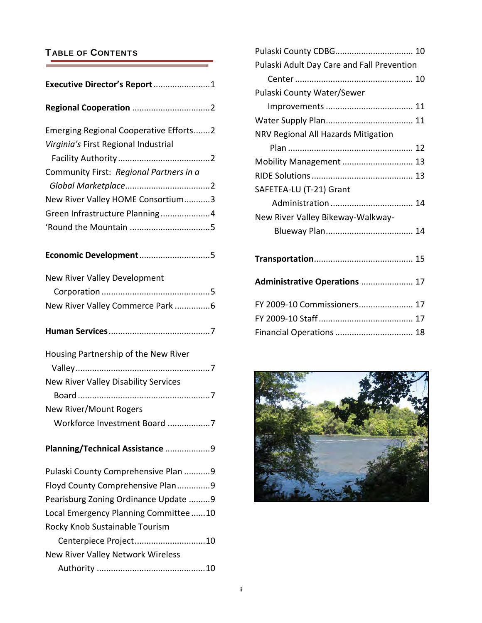#### TABLE OF CONTENTS  $\overline{\phantom{a}}$  , and the contract of  $\overline{\phantom{a}}$

| Executive Director's Report 1 |  |
|-------------------------------|--|
|                               |  |

|--|--|--|

| Emerging Regional Cooperative Efforts2  |  |
|-----------------------------------------|--|
| Virginia's First Regional Industrial    |  |
|                                         |  |
| Community First: Regional Partners in a |  |
|                                         |  |
| New River Valley HOME Consortium3       |  |
| Green Infrastructure Planning4          |  |
|                                         |  |
|                                         |  |

## **Economic Development**..............................5

| New River Valley Development |  |
|------------------------------|--|
|                              |  |
|                              |  |

## **Human Services**...........................................7

| Housing Partnership of the New River        |  |
|---------------------------------------------|--|
|                                             |  |
| <b>New River Valley Disability Services</b> |  |
|                                             |  |
| New River/Mount Rogers                      |  |
| Workforce Investment Board 7                |  |

## **Planning/Technical Assistance** ...................9

| Pulaski County Comprehensive Plan 9   |  |
|---------------------------------------|--|
| Floyd County Comprehensive Plan9      |  |
| Pearisburg Zoning Ordinance Update 9  |  |
| Local Emergency Planning Committee 10 |  |
| Rocky Knob Sustainable Tourism        |  |
| Centerpiece Project10                 |  |
| New River Valley Network Wireless     |  |
|                                       |  |

| Pulaski County CDBG 10                     |
|--------------------------------------------|
| Pulaski Adult Day Care and Fall Prevention |
|                                            |
| Pulaski County Water/Sewer                 |
|                                            |
|                                            |
| NRV Regional All Hazards Mitigation        |
|                                            |
| Mobility Management  13                    |
|                                            |
| SAFETEA-LU (T-21) Grant                    |
|                                            |
| New River Valley Bikeway-Walkway-          |
|                                            |
|                                            |
|                                            |
|                                            |
| Administrative Operations  17              |
| FY 2009-10 Commissioners 17                |
|                                            |
| Financial Operations  18                   |

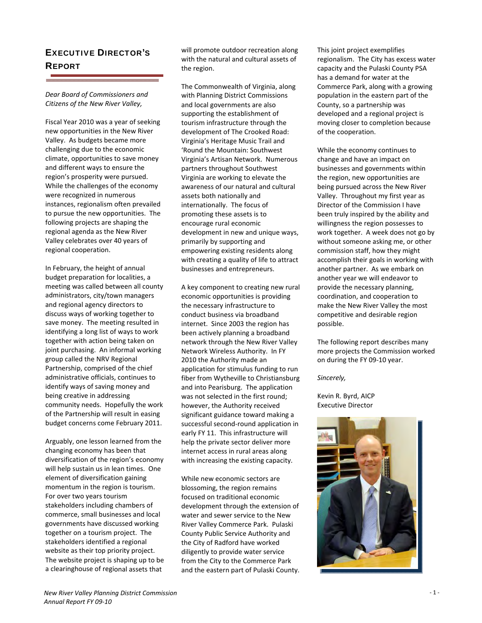## EXECUTIVE DIRECTOR'S REPORT

*Dear Board of Commissioners and Citizens of the New River Valley,*

Fiscal Year 2010 was a year of seeking new opportunities in the New River Valley. As budgets became more challenging due to the economic climate, opportunities to save money and different ways to ensure the region's prosperity were pursued. While the challenges of the economy were recognized in numerous instances, regionalism often prevailed to pursue the new opportunities. The following projects are shaping the regional agenda as the New River Valley celebrates over 40 years of regional cooperation.

In February, the height of annual budget preparation for localities, a meeting was called between all county administrators, city/town managers and regional agency directors to discuss ways of working together to save money. The meeting resulted in identifying a long list of ways to work together with action being taken on joint purchasing. An informal working group called the NRV Regional Partnership, comprised of the chief administrative officials, continues to identify ways of saving money and being creative in addressing community needs. Hopefully the work of the Partnership will result in easing budget concerns come February 2011.

Arguably, one lesson learned from the changing economy has been that diversification of the region's economy will help sustain us in lean times. One element of diversification gaining momentum in the region is tourism. For over two years tourism stakeholders including chambers of commerce, small businesses and local governments have discussed working together on a tourism project. The stakeholders identified a regional website as their top priority project. The website project is shaping up to be a clearinghouse of regional assets that

will promote outdoor recreation along with the natural and cultural assets of the region.

The Commonwealth of Virginia, along with Planning District Commissions and local governments are also supporting the establishment of tourism infrastructure through the development of The Crooked Road: Virginia's Heritage Music Trail and 'Round the Mountain: Southwest Virginia's Artisan Network. Numerous partners throughout Southwest Virginia are working to elevate the awareness of our natural and cultural assets both nationally and internationally. The focus of promoting these assets is to encourage rural economic development in new and unique ways, primarily by supporting and empowering existing residents along with creating a quality of life to attract businesses and entrepreneurs.

A key component to creating new rural economic opportunities is providing the necessary infrastructure to conduct business via broadband internet. Since 2003 the region has been actively planning a broadband network through the New River Valley Network Wireless Authority. In FY 2010 the Authority made an application for stimulus funding to run fiber from Wytheville to Christiansburg and into Pearisburg. The application was not selected in the first round; however, the Authority received significant guidance toward making a successful second‐round application in early FY 11. This infrastructure will help the private sector deliver more internet access in rural areas along with increasing the existing capacity.

While new economic sectors are blossoming, the region remains focused on traditional economic development through the extension of water and sewer service to the New River Valley Commerce Park. Pulaski County Public Service Authority and the City of Radford have worked diligently to provide water service from the City to the Commerce Park and the eastern part of Pulaski County. This joint project exemplifies regionalism. The City has excess water capacity and the Pulaski County PSA has a demand for water at the Commerce Park, along with a growing population in the eastern part of the County, so a partnership was developed and a regional project is moving closer to completion because of the cooperation.

While the economy continues to change and have an impact on businesses and governments within the region, new opportunities are being pursued across the New River Valley. Throughout my first year as Director of the Commission I have been truly inspired by the ability and willingness the region possesses to work together. A week does not go by without someone asking me, or other commission staff, how they might accomplish their goals in working with another partner. As we embark on another year we will endeavor to provide the necessary planning, coordination, and cooperation to make the New River Valley the most competitive and desirable region possible.

The following report describes many more projects the Commission worked on during the FY 09‐10 year.

*Sincerely,*

Kevin R. Byrd, AICP Executive Director

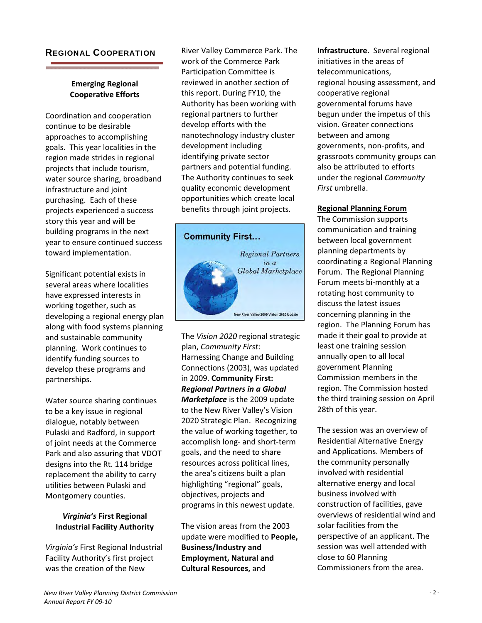#### REGIONAL COOPERATION

#### **Emerging Regional Cooperative Efforts**

Coordination and cooperation continue to be desirable approaches to accomplishing goals. This year localities in the region made strides in regional projects that include tourism, water source sharing, broadband infrastructure and joint purchasing. Each of these projects experienced a success story this year and will be building programs in the next year to ensure continued success toward implementation.

Significant potential exists in several areas where localities have expressed interests in working together, such as developing a regional energy plan along with food systems planning and sustainable community planning. Work continues to identify funding sources to develop these programs and partnerships.

Water source sharing continues to be a key issue in regional dialogue, notably between Pulaski and Radford, in support of joint needs at the Commerce Park and also assuring that VDOT designs into the Rt. 114 bridge replacement the ability to carry utilities between Pulaski and Montgomery counties.

#### *Virginia's* **First Regional Industrial Facility Authority**

*Virginia's* First Regional Industrial Facility Authority's first project was the creation of the New

River Valley Commerce Park. The work of the Commerce Park Participation Committee is reviewed in another section of this report. During FY10, the Authority has been working with regional partners to further develop efforts with the nanotechnology industry cluster development including identifying private sector partners and potential funding. The Authority continues to seek quality economic development opportunities which create local benefits through joint projects.



The *Vision 2020* regional strategic plan, *Community First*: Harnessing Change and Building Connections (2003), was updated in 2009. **Community First:** *Regional Partners in a Global Marketplace* is the 2009 update to the New River Valley's Vision 2020 Strategic Plan. Recognizing the value of working together, to accomplish long‐ and short‐term goals, and the need to share resources across political lines, the area's citizens built a plan highlighting "regional" goals, objectives, projects and programs in this newest update.

The vision areas from the 2003 update were modified to **People, Business/Industry and Employment, Natural and Cultural Resources,** and

**Infrastructure.** Several regional initiatives in the areas of telecommunications, regional housing assessment, and cooperative regional governmental forums have begun under the impetus of this vision. Greater connections between and among governments, non‐profits, and grassroots community groups can also be attributed to efforts under the regional *Community First* umbrella.

#### **Regional Planning Forum**

The Commission supports communication and training between local government planning departments by coordinating a Regional Planning Forum. The Regional Planning Forum meets bi‐monthly at a rotating host community to discuss the latest issues concerning planning in the region. The Planning Forum has made it their goal to provide at least one training session annually open to all local government Planning Commission members in the region. The Commission hosted the third training session on April 28th of this year.

The session was an overview of Residential Alternative Energy and Applications. Members of the community personally involved with residential alternative energy and local business involved with construction of facilities, gave overviews of residential wind and solar facilities from the perspective of an applicant. The session was well attended with close to 60 Planning Commissioners from the area.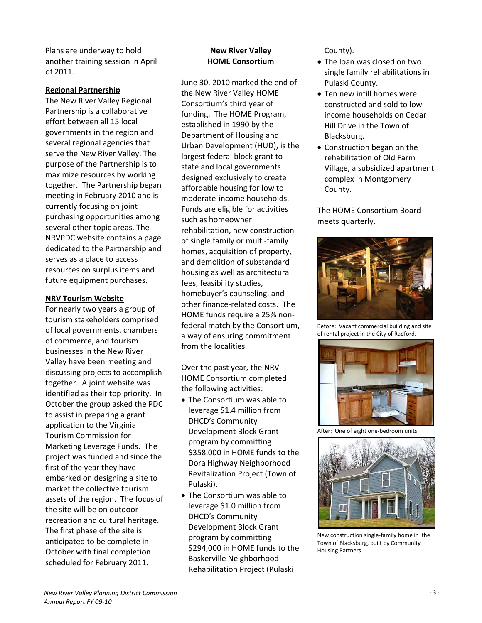Plans are underway to hold another training session in April of 2011.

#### **Regional Partnership**

The New River Valley Regional Partnership is a collaborative effort between all 15 local governments in the region and several regional agencies that serve the New River Valley. The purpose of the Partnership is to maximize resources by working together. The Partnership began meeting in February 2010 and is currently focusing on joint purchasing opportunities among several other topic areas. The NRVPDC website contains a page dedicated to the Partnership and serves as a place to access resources on surplus items and future equipment purchases.

#### **NRV Tourism Website**

For nearly two years a group of tourism stakeholders comprised of local governments, chambers of commerce, and tourism businesses in the New River Valley have been meeting and discussing projects to accomplish together. A joint website was identified as their top priority. In October the group asked the PDC to assist in preparing a grant application to the Virginia Tourism Commission for Marketing Leverage Funds. The project was funded and since the first of the year they have embarked on designing a site to market the collective tourism assets of the region. The focus of the site will be on outdoor recreation and cultural heritage. The first phase of the site is anticipated to be complete in October with final completion scheduled for February 2011.

#### **New River Valley HOME Consortium**

June 30, 2010 marked the end of the New River Valley HOME Consortium's third year of funding. The HOME Program, established in 1990 by the Department of Housing and Urban Development (HUD), is the largest federal block grant to state and local governments designed exclusively to create affordable housing for low to moderate‐income households. Funds are eligible for activities such as homeowner rehabilitation, new construction of single family or multi‐family homes, acquisition of property, and demolition of substandard housing as well as architectural fees, feasibility studies, homebuyer's counseling, and other finance‐related costs. The HOME funds require a 25% non‐ federal match by the Consortium, a way of ensuring commitment from the localities.

Over the past year, the NRV HOME Consortium completed the following activities:

- The Consortium was able to leverage \$1.4 million from DHCD's Community Development Block Grant program by committing \$358,000 in HOME funds to the Dora Highway Neighborhood Revitalization Project (Town of Pulaski).
- The Consortium was able to leverage \$1.0 million from DHCD's Community Development Block Grant program by committing \$294,000 in HOME funds to the Baskerville Neighborhood Rehabilitation Project (Pulaski

County).

- The loan was closed on two single family rehabilitations in Pulaski County.
- Ten new infill homes were constructed and sold to low‐ income households on Cedar Hill Drive in the Town of Blacksburg.
- Construction began on the rehabilitation of Old Farm Village, a subsidized apartment complex in Montgomery County.

The HOME Consortium Board meets quarterly.



Before: Vacant commercial building and site of rental project in the City of Radford.



After: One of eight one‐bedroom units.



New construction single‐family home in the Town of Blacksburg, built by Community Housing Partners.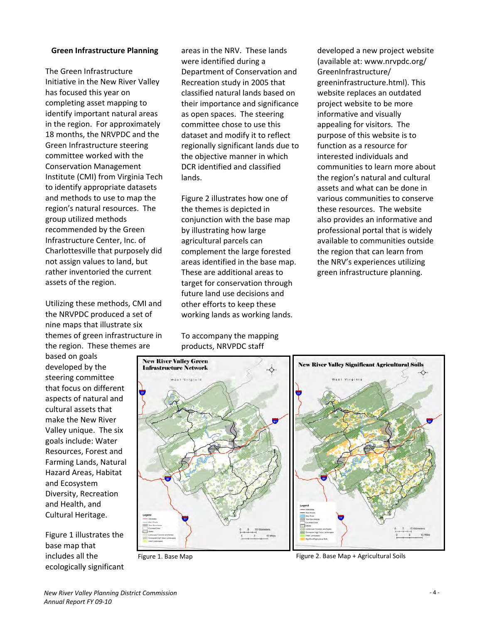#### **Green Infrastructure Planning**

The Green Infrastructure Initiative in the New River Valley has focused this year on completing asset mapping to identify important natural areas in the region. For approximately 18 months, the NRVPDC and the Green Infrastructure steering committee worked with the Conservation Management Institute (CMI) from Virginia Tech to identify appropriate datasets and methods to use to map the region's natural resources. The group utilized methods recommended by the Green Infrastructure Center, Inc. of Charlottesville that purposely did not assign values to land, but rather inventoried the current assets of the region.

Utilizing these methods, CMI and the NRVPDC produced a set of nine maps that illustrate six themes of green infrastructure in the region. These themes are

based on goals developed by the steering committee that focus on different aspects of natural and cultural assets that make the New River Valley unique. The six goals include: Water Resources, Forest and Farming Lands, Natural Hazard Areas, Habitat and Ecosystem Diversity, Recreation and Health, and Cultural Heritage.

Figure 1 illustrates the base map that includes all the ecologically significant areas in the NRV. These lands were identified during a Department of Conservation and Recreation study in 2005 that classified natural lands based on their importance and significance as open spaces. The steering committee chose to use this dataset and modify it to reflect regionally significant lands due to the objective manner in which DCR identified and classified lands.

Figure 2 illustrates how one of the themes is depicted in conjunction with the base map by illustrating how large agricultural parcels can complement the large forested areas identified in the base map. These are additional areas to target for conservation through future land use decisions and other efforts to keep these working lands as working lands.

To accompany the mapping products, NRVPDC staff

developed a new project website (available at: www.nrvpdc.org/ GreenInfrastructure/ greeninfrastructure.html). This website replaces an outdated project website to be more informative and visually appealing for visitors. The purpose of this website is to function as a resource for interested individuals and communities to learn more about the region's natural and cultural assets and what can be done in various communities to conserve these resources. The website also provides an informative and professional portal that is widely available to communities outside the region that can learn from the NRV's experiences utilizing green infrastructure planning.



Figure 1. Base Map **Figure 2. Base Map + Agricultural Soils** Figure 2. Base Map + Agricultural Soils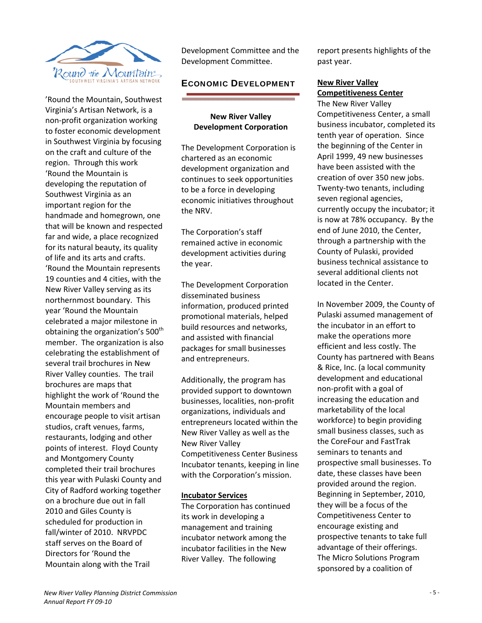

'Round the Mountain, Southwest Virginia's Artisan Network, is a non‐profit organization working to foster economic development in Southwest Virginia by focusing on the craft and culture of the region. Through this work 'Round the Mountain is developing the reputation of Southwest Virginia as an important region for the handmade and homegrown, one that will be known and respected far and wide, a place recognized for its natural beauty, its quality of life and its arts and crafts. 'Round the Mountain represents 19 counties and 4 cities, with the New River Valley serving as its northernmost boundary. This year 'Round the Mountain celebrated a major milestone in obtaining the organization's 500<sup>th</sup> member. The organization is also celebrating the establishment of several trail brochures in New River Valley counties. The trail brochures are maps that highlight the work of 'Round the Mountain members and encourage people to visit artisan studios, craft venues, farms, restaurants, lodging and other points of interest. Floyd County and Montgomery County completed their trail brochures this year with Pulaski County and City of Radford working together on a brochure due out in fall 2010 and Giles County is scheduled for production in fall/winter of 2010. NRVPDC staff serves on the Board of Directors for 'Round the Mountain along with the Trail

Development Committee and the Development Committee.

#### ECONOMIC DEVELOPMENT

#### **New River Valley Development Corporation**

The Development Corporation is chartered as an economic development organization and continues to seek opportunities to be a force in developing economic initiatives throughout the NRV.

The Corporation's staff remained active in economic development activities during the year.

The Development Corporation disseminated business information, produced printed promotional materials, helped build resources and networks, and assisted with financial packages for small businesses and entrepreneurs.

Additionally, the program has provided support to downtown businesses, localities, non‐profit organizations, individuals and entrepreneurs located within the New River Valley as well as the New River Valley Competitiveness Center Business Incubator tenants, keeping in line with the Corporation's mission.

#### **Incubator Services**

The Corporation has continued its work in developing a management and training incubator network among the incubator facilities in the New River Valley. The following

report presents highlights of the past year.

#### **New River Valley Competitiveness Center**

The New River Valley Competitiveness Center, a small business incubator, completed its tenth year of operation. Since the beginning of the Center in April 1999, 49 new businesses have been assisted with the creation of over 350 new jobs. Twenty‐two tenants, including seven regional agencies, currently occupy the incubator; it is now at 78% occupancy. By the end of June 2010, the Center, through a partnership with the County of Pulaski, provided business technical assistance to several additional clients not located in the Center.

In November 2009, the County of Pulaski assumed management of the incubator in an effort to make the operations more efficient and less costly. The County has partnered with Beans & Rice, Inc. (a local community development and educational non‐profit with a goal of increasing the education and marketability of the local workforce) to begin providing small business classes, such as the CoreFour and FastTrak seminars to tenants and prospective small businesses. To date, these classes have been provided around the region. Beginning in September, 2010, they will be a focus of the Competitiveness Center to encourage existing and prospective tenants to take full advantage of their offerings. The Micro Solutions Program sponsored by a coalition of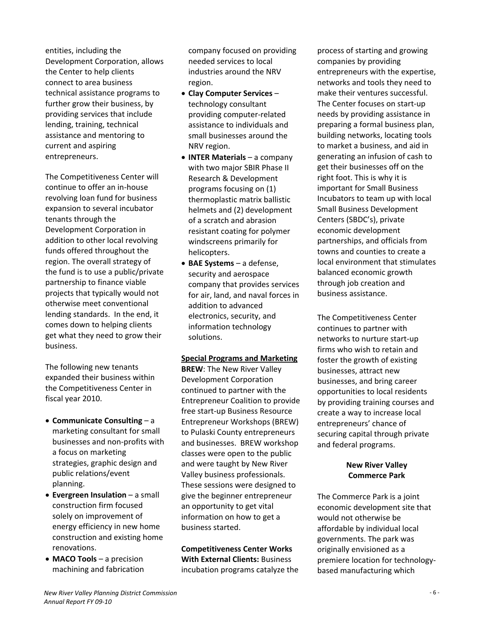entities, including the Development Corporation, allows the Center to help clients connect to area business technical assistance programs to further grow their business, by providing services that include lending, training, technical assistance and mentoring to current and aspiring entrepreneurs.

The Competitiveness Center will continue to offer an in‐house revolving loan fund for business expansion to several incubator tenants through the Development Corporation in addition to other local revolving funds offered throughout the region. The overall strategy of the fund is to use a public/private partnership to finance viable projects that typically would not otherwise meet conventional lending standards. In the end, it comes down to helping clients get what they need to grow their business.

The following new tenants expanded their business within the Competitiveness Center in fiscal year 2010.

- **Communicate Consulting** a marketing consultant for small businesses and non‐profits with a focus on marketing strategies, graphic design and public relations/event planning.
- **Evergreen Insulation** a small construction firm focused solely on improvement of energy efficiency in new home construction and existing home renovations.
- **MACO Tools** a precision machining and fabrication

company focused on providing needed services to local industries around the NRV region.

- **Clay Computer Services** technology consultant providing computer‐related assistance to individuals and small businesses around the NRV region.
- **INTER Materials** a company with two major SBIR Phase II Research & Development programs focusing on (1) thermoplastic matrix ballistic helmets and (2) development of a scratch and abrasion resistant coating for polymer windscreens primarily for helicopters.
- **BAE Systems** a defense, security and aerospace company that provides services for air, land, and naval forces in addition to advanced electronics, security, and information technology solutions.

#### **Special Programs and Marketing**

**BREW**: The New River Valley Development Corporation continued to partner with the Entrepreneur Coalition to provide free start‐up Business Resource Entrepreneur Workshops (BREW) to Pulaski County entrepreneurs and businesses. BREW workshop classes were open to the public and were taught by New River Valley business professionals. These sessions were designed to give the beginner entrepreneur an opportunity to get vital information on how to get a business started.

**Competitiveness Center Works With External Clients:** Business incubation programs catalyze the process of starting and growing companies by providing entrepreneurs with the expertise, networks and tools they need to make their ventures successful. The Center focuses on start‐up needs by providing assistance in preparing a formal business plan, building networks, locating tools to market a business, and aid in generating an infusion of cash to get their businesses off on the right foot. This is why it is important for Small Business Incubators to team up with local Small Business Development Centers (SBDC's), private economic development partnerships, and officials from towns and counties to create a local environment that stimulates balanced economic growth through job creation and business assistance.

The Competitiveness Center continues to partner with networks to nurture start‐up firms who wish to retain and foster the growth of existing businesses, attract new businesses, and bring career opportunities to local residents by providing training courses and create a way to increase local entrepreneurs' chance of securing capital through private and federal programs.

#### **New River Valley Commerce Park**

The Commerce Park is a joint economic development site that would not otherwise be affordable by individual local governments. The park was originally envisioned as a premiere location for technology‐ based manufacturing which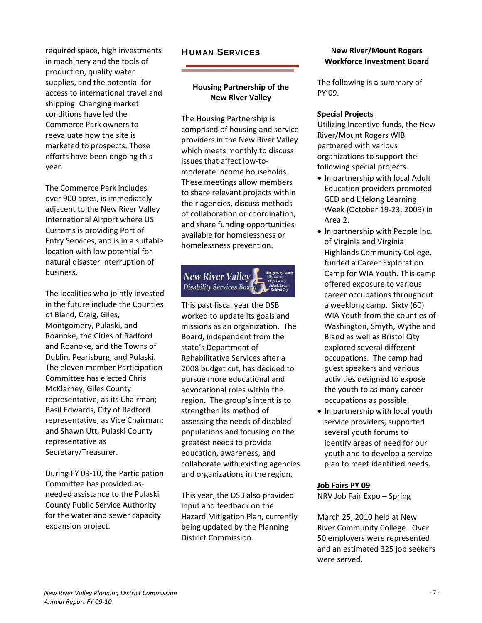required space, high investments in machinery and the tools of production, quality water supplies, and the potential for access to international travel and shipping. Changing market conditions have led the Commerce Park owners to reevaluate how the site is marketed to prospects. Those efforts have been ongoing this year.

The Commerce Park includes over 900 acres, is immediately adjacent to the New River Valley International Airport where US Customs is providing Port of Entry Services, and is in a suitable location with low potential for natural disaster interruption of business.

The localities who jointly invested in the future include the Counties of Bland, Craig, Giles, Montgomery, Pulaski, and Roanoke, the Cities of Radford and Roanoke, and the Towns of Dublin, Pearisburg, and Pulaski. The eleven member Participation Committee has elected Chris McKlarney, Giles County representative, as its Chairman; Basil Edwards, City of Radford representative, as Vice Chairman; and Shawn Utt, Pulaski County representative as Secretary/Treasurer.

During FY 09‐10, the Participation Committee has provided as‐ needed assistance to the Pulaski County Public Service Authority for the water and sewer capacity expansion project.

#### HUMAN SERVICES

#### **Housing Partnership of the New River Valley**

The Housing Partnership is comprised of housing and service providers in the New River Valley which meets monthly to discuss issues that affect low‐to‐ moderate income households. These meetings allow members to share relevant projects within their agencies, discuss methods of collaboration or coordination, and share funding opportunities available for homelessness or homelessness prevention.

## **New River Valley Disability Services Board**

This past fiscal year the DSB worked to update its goals and missions as an organization. The Board, independent from the state's Department of Rehabilitative Services after a 2008 budget cut, has decided to pursue more educational and advocational roles within the region. The group's intent is to strengthen its method of assessing the needs of disabled populations and focusing on the greatest needs to provide education, awareness, and collaborate with existing agencies and organizations in the region.

This year, the DSB also provided input and feedback on the Hazard Mitigation Plan, currently being updated by the Planning District Commission.

#### **New River/Mount Rogers Workforce Investment Board**

The following is a summary of PY'09.

#### **Special Projects**

Utilizing Incentive funds, the New River/Mount Rogers WIB partnered with various organizations to support the following special projects.

- In partnership with local Adult Education providers promoted GED and Lifelong Learning Week (October 19‐23, 2009) in Area 2.
- In partnership with People Inc. of Virginia and Virginia Highlands Community College, funded a Career Exploration Camp for WIA Youth. This camp offered exposure to various career occupations throughout a weeklong camp. Sixty (60) WIA Youth from the counties of Washington, Smyth, Wythe and Bland as well as Bristol City explored several different occupations. The camp had guest speakers and various activities designed to expose the youth to as many career occupations as possible.
- In partnership with local youth service providers, supported several youth forums to identify areas of need for our youth and to develop a service plan to meet identified needs.

#### **Job Fairs PY 09**

NRV Job Fair Expo – Spring

March 25, 2010 held at New River Community College. Over 50 employers were represented and an estimated 325 job seekers were served.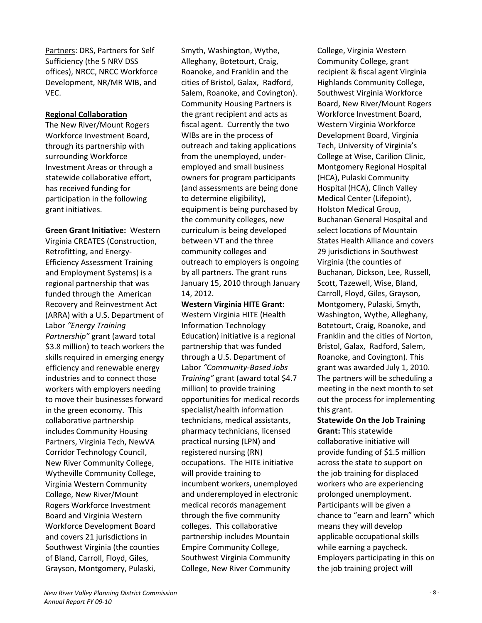Partners: DRS, Partners for Self Sufficiency (the 5 NRV DSS offices), NRCC, NRCC Workforce Development, NR/MR WIB, and VEC.

#### **Regional Collaboration**

The New River/Mount Rogers Workforce Investment Board, through its partnership with surrounding Workforce Investment Areas or through a statewide collaborative effort, has received funding for participation in the following grant initiatives.

**Green Grant Initiative:** Western Virginia CREATES (Construction, Retrofitting, and Energy‐ Efficiency Assessment Training and Employment Systems) is a regional partnership that was funded through the American Recovery and Reinvestment Act (ARRA) with a U.S. Department of Labor *"Energy Training Partnership"* grant (award total \$3.8 million) to teach workers the skills required in emerging energy efficiency and renewable energy industries and to connect those workers with employers needing to move their businesses forward in the green economy. This collaborative partnership includes Community Housing Partners, Virginia Tech, NewVA Corridor Technology Council, New River Community College, Wytheville Community College, Virginia Western Community College, New River/Mount Rogers Workforce Investment Board and Virginia Western Workforce Development Board and covers 21 jurisdictions in Southwest Virginia (the counties of Bland, Carroll, Floyd, Giles, Grayson, Montgomery, Pulaski,

Smyth, Washington, Wythe, Alleghany, Botetourt, Craig, Roanoke, and Franklin and the cities of Bristol, Galax, Radford, Salem, Roanoke, and Covington). Community Housing Partners is the grant recipient and acts as fiscal agent. Currently the two WIBs are in the process of outreach and taking applications from the unemployed, under‐ employed and small business owners for program participants (and assessments are being done to determine eligibility), equipment is being purchased by the community colleges, new curriculum is being developed between VT and the three community colleges and outreach to employers is ongoing by all partners. The grant runs January 15, 2010 through January 14, 2012.

**Western Virginia HITE Grant:** Western Virginia HITE (Health Information Technology Education) initiative is a regional partnership that was funded through a U.S. Department of Labor *"Community‐Based Jobs Training"* grant (award total \$4.7 million) to provide training opportunities for medical records specialist/health information technicians, medical assistants, pharmacy technicians, licensed practical nursing (LPN) and registered nursing (RN) occupations. The HITE initiative will provide training to incumbent workers, unemployed and underemployed in electronic medical records management through the five community colleges. This collaborative partnership includes Mountain Empire Community College, Southwest Virginia Community College, New River Community

College, Virginia Western Community College, grant recipient & fiscal agent Virginia Highlands Community College, Southwest Virginia Workforce Board, New River/Mount Rogers Workforce Investment Board, Western Virginia Workforce Development Board, Virginia Tech, University of Virginia's College at Wise, Carilion Clinic, Montgomery Regional Hospital (HCA), Pulaski Community Hospital (HCA), Clinch Valley Medical Center (Lifepoint), Holston Medical Group, Buchanan General Hospital and select locations of Mountain States Health Alliance and covers 29 jurisdictions in Southwest Virginia (the counties of Buchanan, Dickson, Lee, Russell, Scott, Tazewell, Wise, Bland, Carroll, Floyd, Giles, Grayson, Montgomery, Pulaski, Smyth, Washington, Wythe, Alleghany, Botetourt, Craig, Roanoke, and Franklin and the cities of Norton, Bristol, Galax, Radford, Salem, Roanoke, and Covington). This grant was awarded July 1, 2010. The partners will be scheduling a meeting in the next month to set out the process for implementing this grant.

## **Statewide On the Job Training**

**Grant:** This statewide collaborative initiative will provide funding of \$1.5 million across the state to support on the job training for displaced workers who are experiencing prolonged unemployment. Participants will be given a chance to "earn and learn" which means they will develop applicable occupational skills while earning a paycheck. Employers participating in this on the job training project will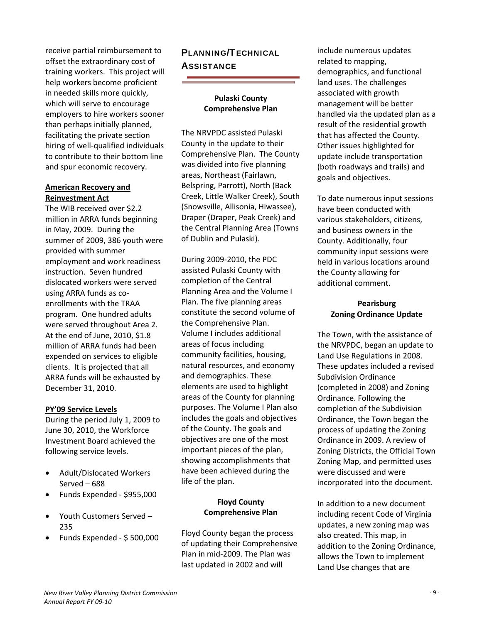receive partial reimbursement to offset the extraordinary cost of training workers. This project will help workers become proficient in needed skills more quickly, which will serve to encourage employers to hire workers sooner than perhaps initially planned, facilitating the private section hiring of well‐qualified individuals to contribute to their bottom line and spur economic recovery.

#### **American Recovery and Reinvestment Act**

The WIB received over \$2.2 million in ARRA funds beginning in May, 2009. During the summer of 2009, 386 youth were provided with summer employment and work readiness instruction. Seven hundred dislocated workers were served using ARRA funds as co‐ enrollments with the TRAA program. One hundred adults were served throughout Area 2. At the end of June, 2010, \$1.8 million of ARRA funds had been expended on services to eligible clients. It is projected that all ARRA funds will be exhausted by December 31, 2010.

#### **PY'09 Service Levels**

During the period July 1, 2009 to June 30, 2010, the Workforce Investment Board achieved the following service levels.

- Adult/Dislocated Workers Served – 688
- Funds Expended ‐ \$955,000
- Youth Customers Served 235
- Funds Expended ‐ \$ 500,000

## PLANNING/TECHNICAL **ASSISTANCE**

## **Pulaski County Comprehensive Plan**

The NRVPDC assisted Pulaski County in the update to their Comprehensive Plan. The County was divided into five planning areas, Northeast (Fairlawn, Belspring, Parrott), North (Back Creek, Little Walker Creek), South (Snowsville, Allisonia, Hiwassee), Draper (Draper, Peak Creek) and the Central Planning Area (Towns of Dublin and Pulaski).

During 2009‐2010, the PDC assisted Pulaski County with completion of the Central Planning Area and the Volume I Plan. The five planning areas constitute the second volume of the Comprehensive Plan. Volume I includes additional areas of focus including community facilities, housing, natural resources, and economy and demographics. These elements are used to highlight areas of the County for planning purposes. The Volume I Plan also includes the goals and objectives of the County. The goals and objectives are one of the most important pieces of the plan, showing accomplishments that have been achieved during the life of the plan.

#### **Floyd County Comprehensive Plan**

Floyd County began the process of updating their Comprehensive Plan in mid‐2009. The Plan was last updated in 2002 and will

include numerous updates related to mapping, demographics, and functional land uses. The challenges associated with growth management will be better handled via the updated plan as a result of the residential growth that has affected the County. Other issues highlighted for update include transportation (both roadways and trails) and goals and objectives.

To date numerous input sessions have been conducted with various stakeholders, citizens, and business owners in the County. Additionally, four community input sessions were held in various locations around the County allowing for additional comment.

### **Pearisburg Zoning Ordinance Update**

The Town, with the assistance of the NRVPDC, began an update to Land Use Regulations in 2008. These updates included a revised Subdivision Ordinance (completed in 2008) and Zoning Ordinance. Following the completion of the Subdivision Ordinance, the Town began the process of updating the Zoning Ordinance in 2009. A review of Zoning Districts, the Official Town Zoning Map, and permitted uses were discussed and were incorporated into the document.

In addition to a new document including recent Code of Virginia updates, a new zoning map was also created. This map, in addition to the Zoning Ordinance, allows the Town to implement Land Use changes that are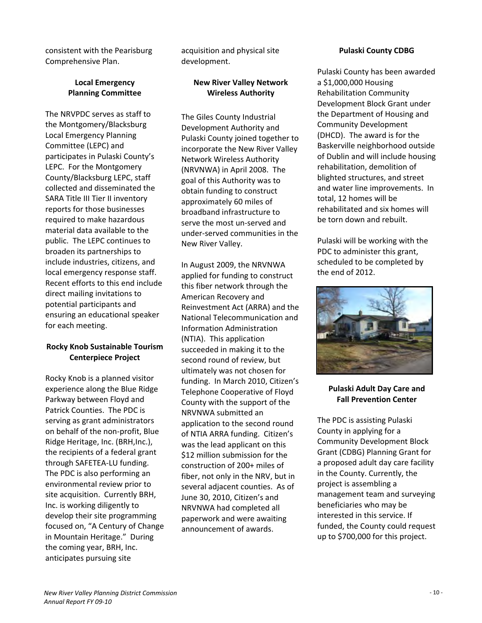consistent with the Pearisburg Comprehensive Plan.

#### **Local Emergency Planning Committee**

The NRVPDC serves as staff to the Montgomery/Blacksburg Local Emergency Planning Committee (LEPC) and participates in Pulaski County's LEPC. For the Montgomery County/Blacksburg LEPC, staff collected and disseminated the SARA Title III Tier II inventory reports for those businesses required to make hazardous material data available to the public. The LEPC continues to broaden its partnerships to include industries, citizens, and local emergency response staff. Recent efforts to this end include direct mailing invitations to potential participants and ensuring an educational speaker for each meeting.

#### **Rocky Knob Sustainable Tourism Centerpiece Project**

Rocky Knob is a planned visitor experience along the Blue Ridge Parkway between Floyd and Patrick Counties. The PDC is serving as grant administrators on behalf of the non‐profit, Blue Ridge Heritage, Inc. (BRH,Inc.), the recipients of a federal grant through SAFETEA‐LU funding. The PDC is also performing an environmental review prior to site acquisition. Currently BRH, Inc. is working diligently to develop their site programming focused on, "A Century of Change in Mountain Heritage." During the coming year, BRH, Inc. anticipates pursuing site

acquisition and physical site development.

#### **New River Valley Network Wireless Authority**

The Giles County Industrial Development Authority and Pulaski County joined together to incorporate the New River Valley Network Wireless Authority (NRVNWA) in April 2008. The goal of this Authority was to obtain funding to construct approximately 60 miles of broadband infrastructure to serve the most un‐served and under‐served communities in the New River Valley.

In August 2009, the NRVNWA applied for funding to construct this fiber network through the American Recovery and Reinvestment Act (ARRA) and the National Telecommunication and Information Administration (NTIA). This application succeeded in making it to the second round of review, but ultimately was not chosen for funding. In March 2010, Citizen's Telephone Cooperative of Floyd County with the support of the NRVNWA submitted an application to the second round of NTIA ARRA funding. Citizen's was the lead applicant on this \$12 million submission for the construction of 200+ miles of fiber, not only in the NRV, but in several adjacent counties. As of June 30, 2010, Citizen's and NRVNWA had completed all paperwork and were awaiting announcement of awards.

#### **Pulaski County CDBG**

Pulaski County has been awarded a \$1,000,000 Housing Rehabilitation Community Development Block Grant under the Department of Housing and Community Development (DHCD). The award is for the Baskerville neighborhood outside of Dublin and will include housing rehabilitation, demolition of blighted structures, and street and water line improvements. In total, 12 homes will be rehabilitated and six homes will be torn down and rebuilt.

Pulaski will be working with the PDC to administer this grant, scheduled to be completed by the end of 2012.



#### **Pulaski Adult Day Care and Fall Prevention Center**

The PDC is assisting Pulaski County in applying for a Community Development Block Grant (CDBG) Planning Grant for a proposed adult day care facility in the County. Currently, the project is assembling a management team and surveying beneficiaries who may be interested in this service. If funded, the County could request up to \$700,000 for this project.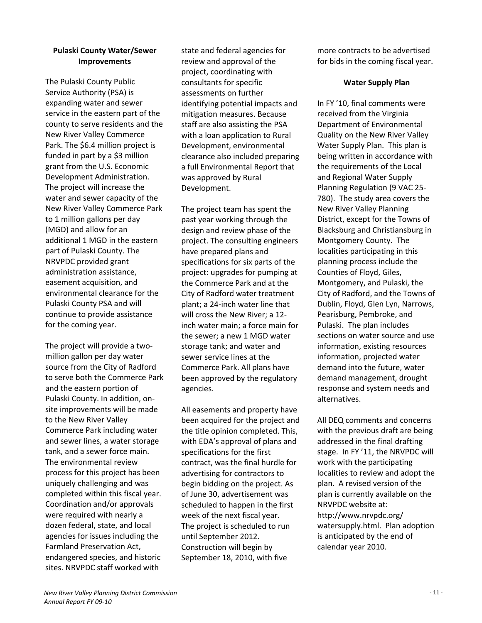#### **Pulaski County Water/Sewer Improvements**

The Pulaski County Public Service Authority (PSA) is expanding water and sewer service in the eastern part of the county to serve residents and the New River Valley Commerce Park. The \$6.4 million project is funded in part by a \$3 million grant from the U.S. Economic Development Administration. The project will increase the water and sewer capacity of the New River Valley Commerce Park to 1 million gallons per day (MGD) and allow for an additional 1 MGD in the eastern part of Pulaski County. The NRVPDC provided grant administration assistance, easement acquisition, and environmental clearance for the Pulaski County PSA and will continue to provide assistance for the coming year.

The project will provide a two‐ million gallon per day water source from the City of Radford to serve both the Commerce Park and the eastern portion of Pulaski County. In addition, on‐ site improvements will be made to the New River Valley Commerce Park including water and sewer lines, a water storage tank, and a sewer force main. The environmental review process for this project has been uniquely challenging and was completed within this fiscal year. Coordination and/or approvals were required with nearly a dozen federal, state, and local agencies for issues including the Farmland Preservation Act, endangered species, and historic sites. NRVPDC staff worked with

state and federal agencies for review and approval of the project, coordinating with consultants for specific assessments on further identifying potential impacts and mitigation measures. Because staff are also assisting the PSA with a loan application to Rural Development, environmental clearance also included preparing a full Environmental Report that was approved by Rural Development.

The project team has spent the past year working through the design and review phase of the project. The consulting engineers have prepared plans and specifications for six parts of the project: upgrades for pumping at the Commerce Park and at the City of Radford water treatment plant; a 24‐inch water line that will cross the New River; a 12‐ inch water main; a force main for the sewer; a new 1 MGD water storage tank; and water and sewer service lines at the Commerce Park. All plans have been approved by the regulatory agencies.

All easements and property have been acquired for the project and the title opinion completed. This, with EDA's approval of plans and specifications for the first contract, was the final hurdle for advertising for contractors to begin bidding on the project. As of June 30, advertisement was scheduled to happen in the first week of the next fiscal year. The project is scheduled to run until September 2012. Construction will begin by September 18, 2010, with five

more contracts to be advertised for bids in the coming fiscal year.

#### **Water Supply Plan**

In FY '10, final comments were received from the Virginia Department of Environmental Quality on the New River Valley Water Supply Plan. This plan is being written in accordance with the requirements of the Local and Regional Water Supply Planning Regulation (9 VAC 25‐ 780). The study area covers the New River Valley Planning District, except for the Towns of Blacksburg and Christiansburg in Montgomery County. The localities participating in this planning process include the Counties of Floyd, Giles, Montgomery, and Pulaski, the City of Radford, and the Towns of Dublin, Floyd, Glen Lyn, Narrows, Pearisburg, Pembroke, and Pulaski. The plan includes sections on water source and use information, existing resources information, projected water demand into the future, water demand management, drought response and system needs and alternatives.

All DEQ comments and concerns with the previous draft are being addressed in the final drafting stage. In FY '11, the NRVPDC will work with the participating localities to review and adopt the plan. A revised version of the plan is currently available on the NRVPDC website at: http://www.nrvpdc.org/ watersupply.html. Plan adoption is anticipated by the end of calendar year 2010.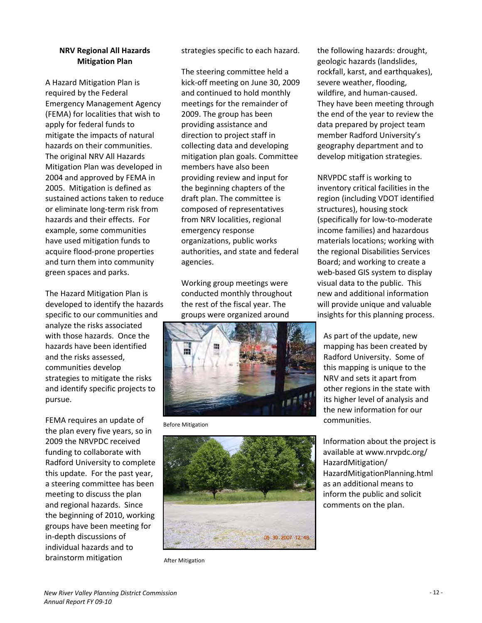#### **NRV Regional All Hazards Mitigation Plan**

A Hazard Mitigation Plan is required by the Federal Emergency Management Agency (FEMA) for localities that wish to apply for federal funds to mitigate the impacts of natural hazards on their communities. The original NRV All Hazards Mitigation Plan was developed in 2004 and approved by FEMA in 2005. Mitigation is defined as sustained actions taken to reduce or eliminate long‐term risk from hazards and their effects. For example, some communities have used mitigation funds to acquire flood‐prone properties and turn them into community green spaces and parks.

The Hazard Mitigation Plan is developed to identify the hazards specific to our communities and analyze the risks associated with those hazards. Once the hazards have been identified and the risks assessed, communities develop strategies to mitigate the risks and identify specific projects to pursue.

FEMA requires an update of the plan every five years, so in 2009 the NRVPDC received funding to collaborate with Radford University to complete this update. For the past year, a steering committee has been meeting to discuss the plan and regional hazards. Since the beginning of 2010, working groups have been meeting for in‐depth discussions of individual hazards and to brainstorm mitigation

strategies specific to each hazard.

The steering committee held a kick‐off meeting on June 30, 2009 and continued to hold monthly meetings for the remainder of 2009. The group has been providing assistance and direction to project staff in collecting data and developing mitigation plan goals. Committee members have also been providing review and input for the beginning chapters of the draft plan. The committee is composed of representatives from NRV localities, regional emergency response organizations, public works authorities, and state and federal agencies.

Working group meetings were conducted monthly throughout the rest of the fiscal year. The groups were organized around







After Mitigation

the following hazards: drought, geologic hazards (landslides, rockfall, karst, and earthquakes), severe weather, flooding, wildfire, and human‐caused. They have been meeting through the end of the year to review the data prepared by project team member Radford University's geography department and to develop mitigation strategies.

NRVPDC staff is working to inventory critical facilities in the region (including VDOT identified structures), housing stock (specifically for low‐to‐moderate income families) and hazardous materials locations; working with the regional Disabilities Services Board; and working to create a web-based GIS system to display visual data to the public. This new and additional information will provide unique and valuable insights for this planning process.

As part of the update, new mapping has been created by Radford University. Some of this mapping is unique to the NRV and sets it apart from other regions in the state with its higher level of analysis and the new information for our communities.

Information about the project is available at www.nrvpdc.org/ HazardMitigation/ HazardMitigationPlanning.html as an additional means to inform the public and solicit comments on the plan.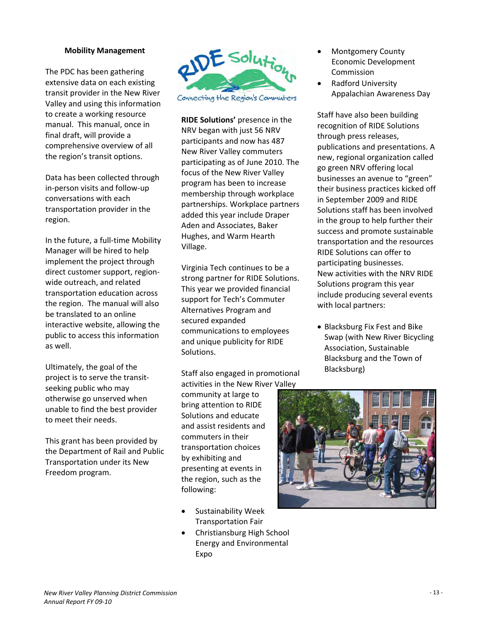#### **Mobility Management**

The PDC has been gathering extensive data on each existing transit provider in the New River Valley and using this information to create a working resource manual. This manual, once in final draft, will provide a comprehensive overview of all the region's transit options.

Data has been collected through in‐person visits and follow‐up conversations with each transportation provider in the region.

In the future, a full‐time Mobility Manager will be hired to help implement the project through direct customer support, region‐ wide outreach, and related transportation education across the region. The manual will also be translated to an online interactive website, allowing the public to access this information as well.

Ultimately, the goal of the project is to serve the transit‐ seeking public who may otherwise go unserved when unable to find the best provider to meet their needs.

This grant has been provided by the Department of Rail and Public Transportation under its New Freedom program.



**RIDE Solutions'** presence in the NRV began with just 56 NRV participants and now has 487 New River Valley commuters participating as of June 2010. The focus of the New River Valley program has been to increase membership through workplace partnerships. Workplace partners added this year include Draper Aden and Associates, Baker Hughes, and Warm Hearth Village.

Virginia Tech continues to be a strong partner for RIDE Solutions. This year we provided financial support for Tech's Commuter Alternatives Program and secured expanded communications to employees and unique publicity for RIDE Solutions.

Staff also engaged in promotional activities in the New River Valley

community at large to bring attention to RIDE Solutions and educate and assist residents and commuters in their transportation choices by exhibiting and presenting at events in the region, such as the following:

- **•** Sustainability Week Transportation Fair
- Christiansburg High School Energy and Environmental Expo
- Montgomery County Economic Development Commission
- Radford University Appalachian Awareness Day

Staff have also been building recognition of RIDE Solutions through press releases, publications and presentations. A new, regional organization called go green NRV offering local businesses an avenue to "green" their business practices kicked off in September 2009 and RIDE Solutions staff has been involved in the group to help further their success and promote sustainable transportation and the resources RIDE Solutions can offer to participating businesses. New activities with the NRV RIDE Solutions program this year include producing several events with local partners:

• Blacksburg Fix Fest and Bike Swap (with New River Bicycling Association, Sustainable Blacksburg and the Town of Blacksburg)

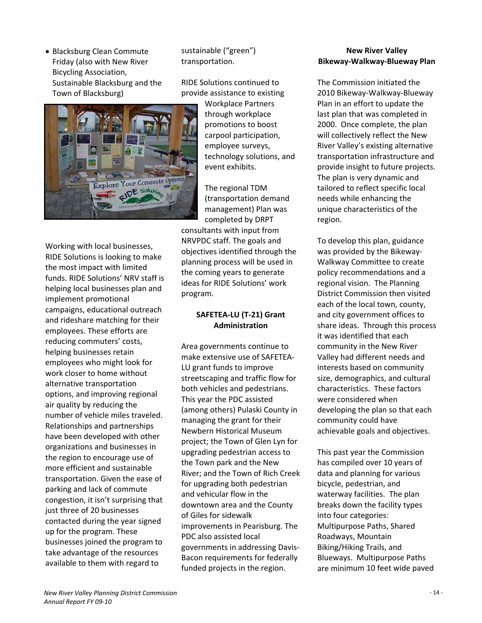• Blacksburg Clean Commute Friday (also with New River Bicycling Association, Sustainable Blacksburg and the Town of Blacksburg)

sustainable ("green") transportation.

RIDE Solutions continued to provide assistance to existing



Working with local businesses, RIDE Solutions is looking to make the most impact with limited funds. RIDE Solutions' NRV staff is helping local businesses plan and implement promotional campaigns, educational outreach and rideshare matching for their employees. These efforts are reducing commuters' costs, helping businesses retain employees who might look for work closer to home without alternative transportation options, and improving regional air quality by reducing the number of vehicle miles traveled. Relationships and partnerships have been developed with other organizations and businesses in the region to encourage use of more efficient and sustainable transportation. Given the ease of parking and lack of commute congestion, it isn't surprising that just three of 20 businesses contacted during the year signed up for the program. These businesses joined the program to take advantage of the resources available to them with regard to

Workplace Partners through workplace promotions to boost carpool participation, employee surveys, technology solutions, and event exhibits.

The regional TDM (transportation demand management) Plan was completed by DRPT

consultants with input from NRVPDC staff. The goals and objectives identified through the planning process will be used in the coming years to generate ideas for RIDE Solutions' work program.

#### **SAFETEA‐LU (T‐21) Grant Administration**

Area governments continue to make extensive use of SAFETEA‐ LU grant funds to improve streetscaping and traffic flow for both vehicles and pedestrians. This year the PDC assisted (among others) Pulaski County in managing the grant for their Newbern Historical Museum project; the Town of Glen Lyn for upgrading pedestrian access to the Town park and the New River; and the Town of Rich Creek for upgrading both pedestrian and vehicular flow in the downtown area and the County of Giles for sidewalk improvements in Pearisburg. The PDC also assisted local governments in addressing Davis‐ Bacon requirements for federally funded projects in the region.

#### **New River Valley Bikeway‐Walkway‐Blueway Plan**

The Commission initiated the 2010 Bikeway‐Walkway‐Blueway Plan in an effort to update the last plan that was completed in 2000. Once complete, the plan will collectively reflect the New River Valley's existing alternative transportation infrastructure and provide insight to future projects. The plan is very dynamic and tailored to reflect specific local needs while enhancing the unique characteristics of the region.

To develop this plan, guidance was provided by the Bikeway‐ Walkway Committee to create policy recommendations and a regional vision. The Planning District Commission then visited each of the local town, county, and city government offices to share ideas. Through this process it was identified that each community in the New River Valley had different needs and interests based on community size, demographics, and cultural characteristics. These factors were considered when developing the plan so that each community could have achievable goals and objectives.

This past year the Commission has compiled over 10 years of data and planning for various bicycle, pedestrian, and waterway facilities. The plan breaks down the facility types into four categories: Multipurpose Paths, Shared Roadways, Mountain Biking/Hiking Trails, and Blueways. Multipurpose Paths are minimum 10 feet wide paved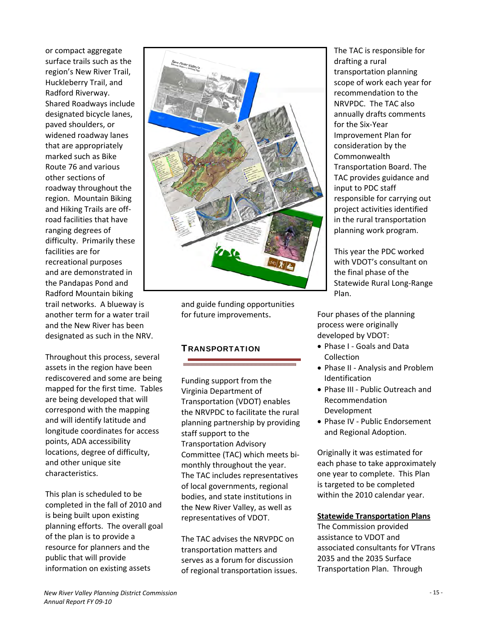or compact aggregate surface trails such as the region's New River Trail, Huckleberry Trail, and Radford Riverway. Shared Roadways include designated bicycle lanes, paved shoulders, or widened roadway lanes that are appropriately marked such as Bike Route 76 and various other sections of roadway throughout the region. Mountain Biking and Hiking Trails are off‐ road facilities that have ranging degrees of difficulty. Primarily these facilities are for recreational purposes and are demonstrated in the Pandapas Pond and Radford Mountain biking trail networks. A blueway is another term for a water trail and the New River has been designated as such in the NRV.

Throughout this process, several assets in the region have been rediscovered and some are being mapped for the first time. Tables are being developed that will correspond with the mapping and will identify latitude and longitude coordinates for access points, ADA accessibility locations, degree of difficulty, and other unique site characteristics.

This plan is scheduled to be completed in the fall of 2010 and is being built upon existing planning efforts. The overall goal of the plan is to provide a resource for planners and the public that will provide information on existing assets



and guide funding opportunities for future improvements.

#### **TRANSPORTATION**

Funding support from the Virginia Department of Transportation (VDOT) enables the NRVPDC to facilitate the rural planning partnership by providing staff support to the Transportation Advisory Committee (TAC) which meets bi‐ monthly throughout the year. The TAC includes representatives of local governments, regional bodies, and state institutions in the New River Valley, as well as representatives of VDOT.

The TAC advises the NRVPDC on transportation matters and serves as a forum for discussion of regional transportation issues. The TAC is responsible for drafting a rural transportation planning scope of work each year for recommendation to the NRVPDC. The TAC also annually drafts comments for the Six‐Year Improvement Plan for consideration by the Commonwealth Transportation Board. The TAC provides guidance and input to PDC staff responsible for carrying out project activities identified in the rural transportation planning work program.

This year the PDC worked with VDOT's consultant on the final phase of the Statewide Rural Long‐Range Plan.

Four phases of the planning process were originally developed by VDOT:

- Phase I Goals and Data Collection
- Phase II Analysis and Problem Identification
- Phase III ‐ Public Outreach and Recommendation Development
- Phase IV Public Endorsement and Regional Adoption.

Originally it was estimated for each phase to take approximately one year to complete. This Plan is targeted to be completed within the 2010 calendar year.

#### **Statewide Transportation Plans**

The Commission provided assistance to VDOT and associated consultants for VTrans 2035 and the 2035 Surface Transportation Plan. Through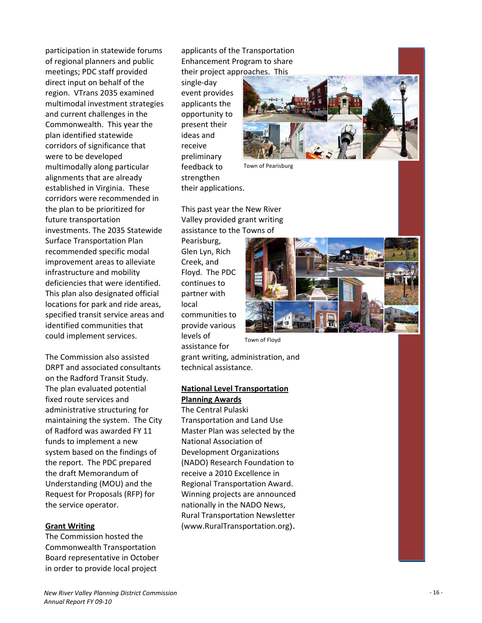participation in statewide forums of regional planners and public meetings; PDC staff provided direct input on behalf of the region. VTrans 2035 examined multimodal investment strategies and current challenges in the Commonwealth. This year the plan identified statewide corridors of significance that were to be developed multimodally along particular alignments that are already established in Virginia. These corridors were recommended in the plan to be prioritized for future transportation investments. The 2035 Statewide Surface Transportation Plan recommended specific modal improvement areas to alleviate infrastructure and mobility deficiencies that were identified. This plan also designated official locations for park and ride areas, specified transit service areas and identified communities that could implement services.

The Commission also assisted DRPT and associated consultants on the Radford Transit Study. The plan evaluated potential fixed route services and administrative structuring for maintaining the system. The City of Radford was awarded FY 11 funds to implement a new system based on the findings of the report. The PDC prepared the draft Memorandum of Understanding (MOU) and the Request for Proposals (RFP) for the service operator.

#### **Grant Writing**

The Commission hosted the Commonwealth Transportation Board representative in October in order to provide local project

applicants of the Transportation Enhancement Program to share their project approaches. This

single ‐day event provides applicants the opportunity to present their ideas and receive preliminary feedback to strengthen their applications.



Town of Pearisburg

This past year the New River Valley provided grant writing assistance to the Towns of

Pearisburg, Glen Lyn, Rich Creek, and Floyd. The PDC continues to partner with local communities to provide various levels of assistance for



Town of Floyd

grant writing, administration, and technical assistance.

#### **National Level Transportation Planning Awards**

The Central Pulaski Transportation and Land Use Master Plan was selected by the National Association of Development Organizations (NADO) Research Foundation to receive a 2010 Excellence in Regional Transportation Award. Winning projects are announced nationally in the NADO News, Rural Transportation Newsletter (www.RuralTransportation.org).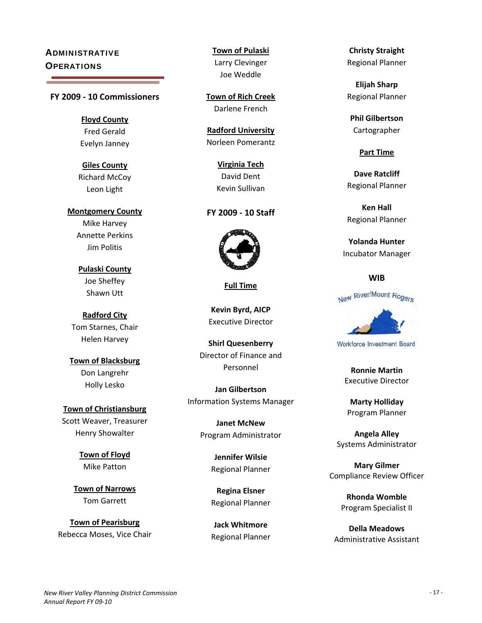## **ADMINISTRATIVE OPERATIONS**

#### **FY 2009 ‐ 10 Commissioners**

**Floyd County** Fred Gerald Evelyn Janney

**Giles County** Richard McCoy Leon Light

**Montgomery County** Mike Harvey Annette Perkins Jim Politis

> **Pulaski County** Joe Sheffey Shawn Utt

**Radford City** Tom Starnes, Chair Helen Harvey

**Town of Blacksburg** Don Langrehr Holly Lesko

**Town of Christiansburg** Scott Weaver, Treasurer Henry Showalter

> **Town of Floyd** Mike Patton

**Town of Narrows** Tom Garrett

**Town of Pearisburg** Rebecca Moses, Vice Chair **Town of Pulaski** Larry Clevinger Joe Weddle

**Town of Rich Creek** Darlene French

**Radford University** Norleen Pomerantz

> **Virginia Tech** David Dent Kevin Sullivan

#### **FY 2009 ‐ 10 Staff**



**Full Time**

**Kevin Byrd, AICP** Executive Director

**Shirl Quesenberry** Director of Finance and Personnel

**Jan Gilbertson** Information Systems Manager

> **Janet McNew** Program Administrator

> > **Jennifer Wilsie** Regional Planner

> > **Regina Elsner** Regional Planner

**Jack Whitmore** Regional Planner

**Christy Straight** Regional Planner

**Elijah Sharp** Regional Planner

**Phil Gilbertson** Cartographer

**Part Time**

**Dave Ratcliff** Regional Planner

**Ken Hall** Regional Planner

**Yolanda Hunter** Incubator Manager

#### **WIB**



Workforce Investment Board

**Ronnie Martin** Executive Director

**Marty Holliday** Program Planner

**Angela Alley** Systems Administrator

**Mary Gilmer** Compliance Review Officer

> **Rhonda Womble** Program Specialist II

**Della Meadows** Administrative Assistant